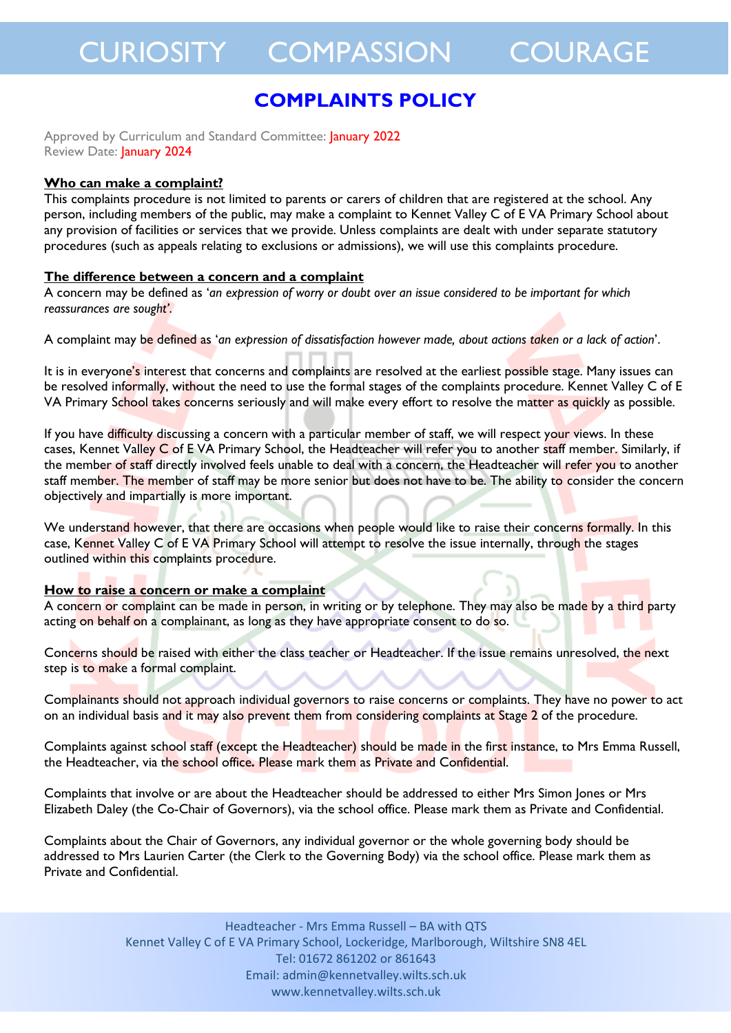### **COMPLAINTS POLICY**

Approved by Curriculum and Standard Committee: January 2022 Review Date: **January 2024** 

#### **Who can make a complaint?**

This complaints procedure is not limited to parents or carers of children that are registered at the school. Any person, including members of the public, may make a complaint to Kennet Valley C of E VA Primary School about any provision of facilities or services that we provide. Unless complaints are dealt with under separate statutory procedures (such as appeals relating to exclusions or admissions), we will use this complaints procedure.

### **The difference between a concern and a complaint**

A concern may be defined as '*an expression of worry or doubt over an issue considered to be important for which reassurances are sought'*.

A complaint may be defined as '*an expression of dissatisfaction however made, about actions taken or a lack of action*'.

It is in everyone's interest that concerns and complaints are resolved at the earliest possible stage. Many issues can be resolved informally, without the need to use the formal stages of the complaints procedure. Kennet Valley C of E VA Primary School takes concerns seriously and will make every effort to resolve the matter as quickly as possible.

If you have difficulty discussing a concern with a particular member of staff, we will respect your views. In these cases, Kennet Valley C of E VA Primary School, the Headteacher will refer you to another staff member. Similarly, if the member of staff directly involved feels unable to deal with a concern, the Headteacher will refer you to another staff member. The member of staff may be more senior but does not have to be. The ability to consider the concern objectively and impartially is more important.

We understand however, that there are occasions when people would like to raise their concerns formally. In this case, Kennet Valley C of E VA Primary School will attempt to resolve the issue internally, through the stages outlined within this complaints procedure.

#### **How to raise a concern or make a complaint**

A concern or complaint can be made in person, in writing or by telephone. They may also be made by a third party acting on behalf on a complainant, as long as they have appropriate consent to do so.

Concerns should be raised with either the class teacher or Headteacher. If the issue remains unresolved, the next step is to make a formal complaint.

Complainants should not approach individual governors to raise concerns or complaints. They have no power to act on an individual basis and it may also prevent them from considering complaints at Stage 2 of the procedure.

Complaints against school staff (except the Headteacher) should be made in the first instance, to Mrs Emma Russell, the Headteacher, via the school office*.* Please mark them as Private and Confidential.

Complaints that involve or are about the Headteacher should be addressed to either Mrs Simon Jones or Mrs Elizabeth Daley (the Co-Chair of Governors), via the school office. Please mark them as Private and Confidential.

Complaints about the Chair of Governors, any individual governor or the whole governing body should be addressed to Mrs Laurien Carter (the Clerk to the Governing Body) via the school office. Please mark them as Private and Confidential.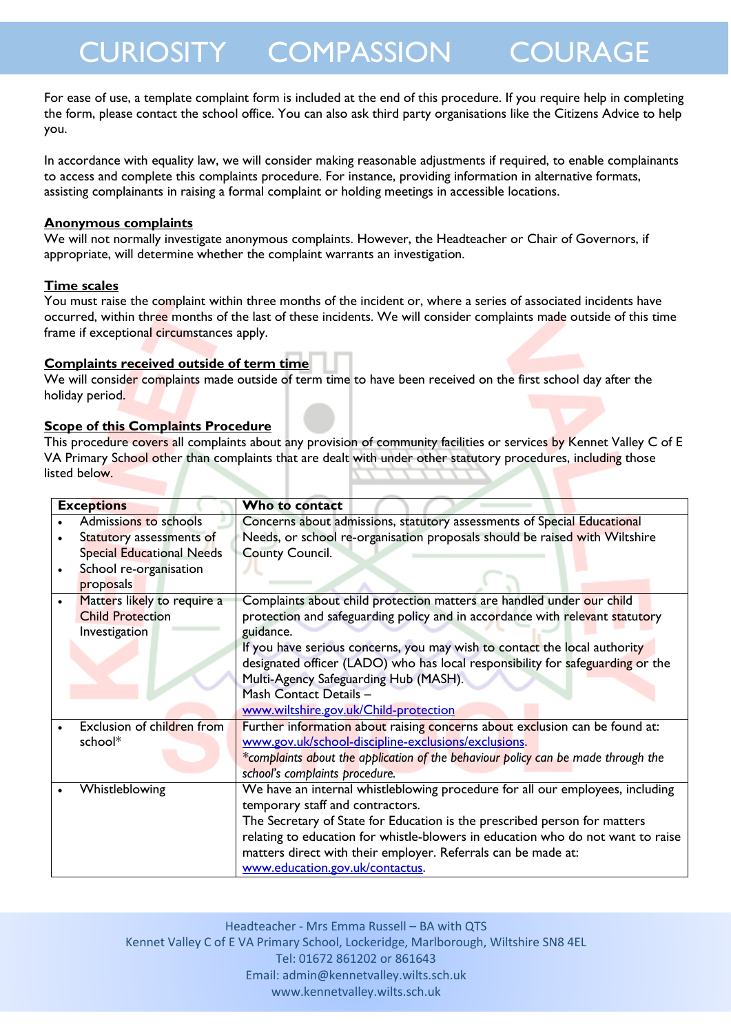For ease of use, a template complaint form is included at the end of this procedure. If you require help in completing the form, please contact the school office. You can also ask third party organisations like the Citizens Advice to help you.

In accordance with equality law, we will consider making reasonable adjustments if required, to enable complainants to access and complete this complaints procedure. For instance, providing information in alternative formats, assisting complainants in raising a formal complaint or holding meetings in accessible locations.

### **Anonymous complaints**

We will not normally investigate anonymous complaints. However, the Headteacher or Chair of Governors, if appropriate, will determine whether the complaint warrants an investigation.

### **Time scales**

You must raise the complaint within three months of the incident or, where a series of associated incidents have occurred, within three months of the last of these incidents. We will consider complaints made outside of this time frame if exceptional circumstances apply.

### **Complaints received outside of term time**

We will consider complaints made outside of term time to have been received on the first school day after the holiday period.

### **Scope of this Complaints Procedure**

This procedure covers all complaints about any provision of community facilities or services by Kennet Valley C of E VA Primary School other than complaints that are dealt with under other statutory procedures, including those listed below.

| <b>Exceptions</b> |                                  | Who to contact                                                                    |
|-------------------|----------------------------------|-----------------------------------------------------------------------------------|
|                   | Admissions to schools            | Concerns about admissions, statutory assessments of Special Educational           |
|                   | Statutory assessments of         | Needs, or school re-organisation proposals should be raised with Wiltshire        |
|                   | <b>Special Educational Needs</b> | <b>County Council.</b>                                                            |
|                   | School re-organisation           |                                                                                   |
|                   | proposals                        |                                                                                   |
|                   | Matters likely to require a      | Complaints about child protection matters are handled under our child             |
|                   | <b>Child Protection</b>          | protection and safeguarding policy and in accordance with relevant statutory      |
|                   | Investigation                    | guidance.                                                                         |
|                   |                                  | If you have serious concerns, you may wish to contact the local authority         |
|                   |                                  | designated officer (LADO) who has local responsibility for safeguarding or the    |
|                   |                                  | Multi-Agency Safeguarding Hub (MASH).                                             |
|                   |                                  | Mash Contact Details -                                                            |
|                   |                                  | www.wiltshire.gov.uk/Child-protection                                             |
|                   | Exclusion of children from       | Further information about raising concerns about exclusion can be found at:       |
|                   | school*                          | www.gov.uk/school-discipline-exclusions/exclusions.                               |
|                   |                                  | *complaints about the application of the behaviour policy can be made through the |
|                   |                                  | school's complaints procedure.                                                    |
|                   | Whistleblowing                   | We have an internal whistleblowing procedure for all our employees, including     |
|                   |                                  | temporary staff and contractors.                                                  |
|                   |                                  | The Secretary of State for Education is the prescribed person for matters         |
|                   |                                  | relating to education for whistle-blowers in education who do not want to raise   |
|                   |                                  | matters direct with their employer. Referrals can be made at:                     |
|                   |                                  | www.education.gov.uk/contactus.                                                   |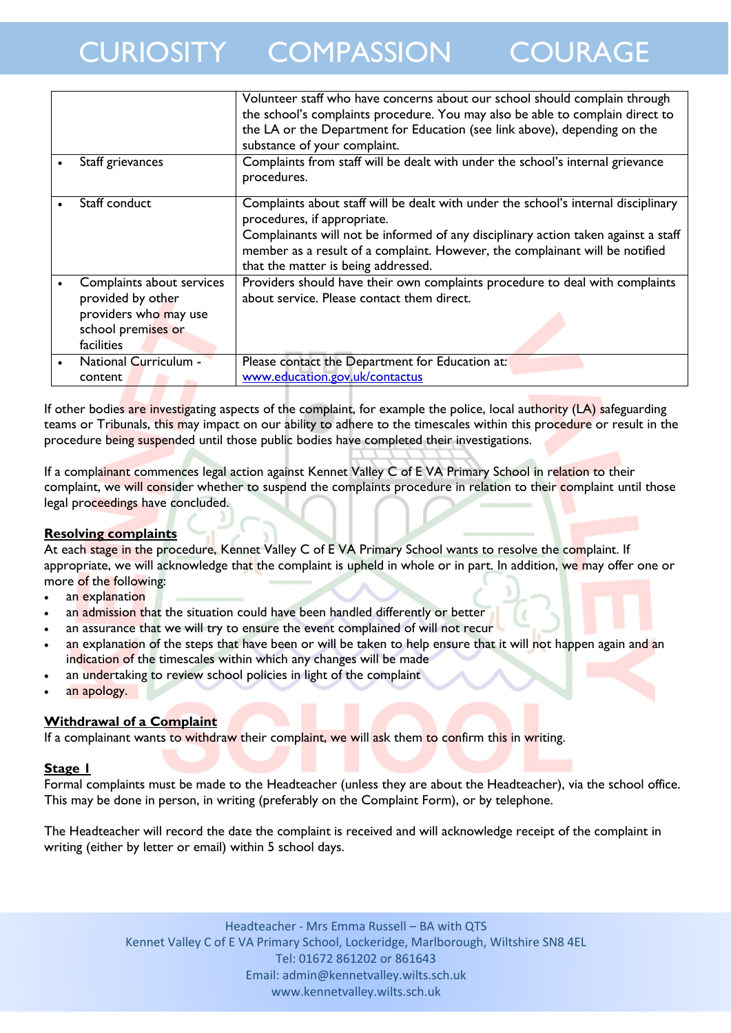|                           | Volunteer staff who have concerns about our school should complain through<br>the school's complaints procedure. You may also be able to complain direct to<br>the LA or the Department for Education (see link above), depending on the                                                                                       |
|---------------------------|--------------------------------------------------------------------------------------------------------------------------------------------------------------------------------------------------------------------------------------------------------------------------------------------------------------------------------|
|                           | substance of your complaint.                                                                                                                                                                                                                                                                                                   |
| Staff grievances          | Complaints from staff will be dealt with under the school's internal grievance<br>procedures.                                                                                                                                                                                                                                  |
| Staff conduct             | Complaints about staff will be dealt with under the school's internal disciplinary<br>procedures, if appropriate.<br>Complainants will not be informed of any disciplinary action taken against a staff<br>member as a result of a complaint. However, the complainant will be notified<br>that the matter is being addressed. |
| Complaints about services | Providers should have their own complaints procedure to deal with complaints                                                                                                                                                                                                                                                   |
| provided by other         | about service. Please contact them direct.                                                                                                                                                                                                                                                                                     |
| providers who may use     |                                                                                                                                                                                                                                                                                                                                |
| school premises or        |                                                                                                                                                                                                                                                                                                                                |
| <b>facilities</b>         |                                                                                                                                                                                                                                                                                                                                |
| National Curriculum -     | Please contact the Department for Education at:                                                                                                                                                                                                                                                                                |
| content                   | www.education.gov.uk/contactus                                                                                                                                                                                                                                                                                                 |

If other bodies are investigating aspects of the complaint, for example the police, local authority (LA) safeguarding teams or Tribunals, this may impact on our ability to adhere to the timescales within this procedure or result in the procedure being suspended until those public bodies have completed their investigations.

If a complainant commences legal action against Kennet Valley C of E VA Primary School in relation to their complaint, we will consider whether to suspend the complaints procedure in relation to their complaint until those legal proceedings have concluded.

### **Resolving complaints**

At each stage in the procedure, Kennet Valley C of E VA Primary School wants to resolve the complaint. If appropriate, we will acknowledge that the complaint is upheld in whole or in part. In addition, we may offer one or more of the following:

- an explanation
- an admission that the situation could have been handled differently or better
- an assurance that we will try to ensure the event complained of will not recur
- an explanation of the steps that have been or will be taken to help ensure that it will not happen again and an indication of the timescales within which any changes will be made
- an undertaking to review school policies in light of the complaint
- an apology.

### **Withdrawal of a Complaint**

If a complainant wants to withdraw their complaint, we will ask them to confirm this in writing.

### **Stage 1**

Formal complaints must be made to the Headteacher (unless they are about the Headteacher), via the school office. This may be done in person, in writing (preferably on the Complaint Form), or by telephone.

The Headteacher will record the date the complaint is received and will acknowledge receipt of the complaint in writing (either by letter or email) within 5 school days.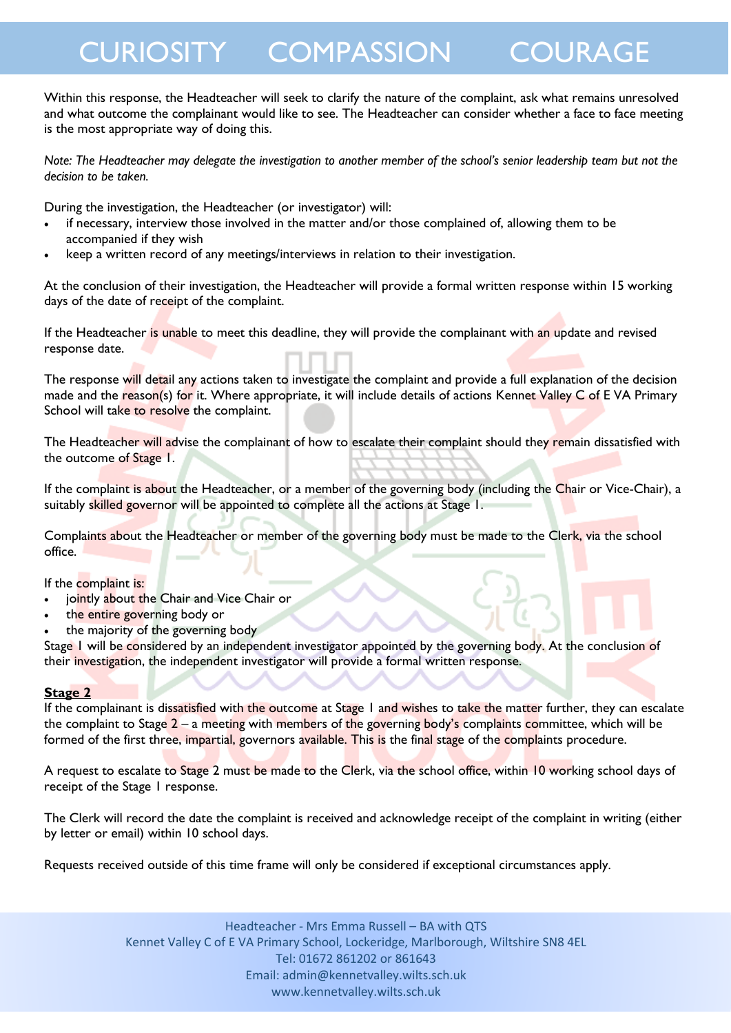Within this response, the Headteacher will seek to clarify the nature of the complaint, ask what remains unresolved and what outcome the complainant would like to see. The Headteacher can consider whether a face to face meeting is the most appropriate way of doing this.

*Note: The Headteacher may delegate the investigation to another member of the school's senior leadership team but not the decision to be taken.*

During the investigation, the Headteacher (or investigator) will:

- if necessary, interview those involved in the matter and/or those complained of, allowing them to be accompanied if they wish
- keep a written record of any meetings/interviews in relation to their investigation.

At the conclusion of their investigation, the Headteacher will provide a formal written response within 15 working days of the date of receipt of the complaint.

If the Headteacher is unable to meet this deadline, they will provide the complainant with an update and revised response date.

The response will detail any actions taken to investigate the complaint and provide a full explanation of the decision made and the reason(s) for it. Where appropriate, it will include details of actions Kennet Valley C of EVA Primary School will take to resolve the complaint.

The Headteacher will advise the complainant of how to escalate their complaint should they remain dissatisfied with the outcome of Stage 1.

If the complaint is about the Headteacher, or a member of the governing body (including the Chair or Vice-Chair), a suitably skilled governor will be appointed to complete all the actions at Stage 1.

Complaints about the Headteacher or member of the governing body must be made to the Clerk, via the school office.

If the complaint is:

- jointly about the Chair and Vice Chair or
- the entire governing body or
- the majority of the governing body

Stage 1 will be considered by an independent investigator appointed by the governing body. At the conclusion of their investigation, the independent investigator will provide a formal written response.

#### **Stage 2**

If the complainant is dissatisfied with the outcome at Stage 1 and wishes to take the matter further, they can escalate the complaint to Stage 2 – a meeting with members of the governing body's complaints committee, which will be formed of the first three, impartial, governors available. This is the final stage of the complaints procedure.

A request to escalate to Stage 2 must be made to the Clerk, via the school office, within 10 working school days of receipt of the Stage 1 response.

The Clerk will record the date the complaint is received and acknowledge receipt of the complaint in writing (either by letter or email) within 10 school days.

Requests received outside of this time frame will only be considered if exceptional circumstances apply.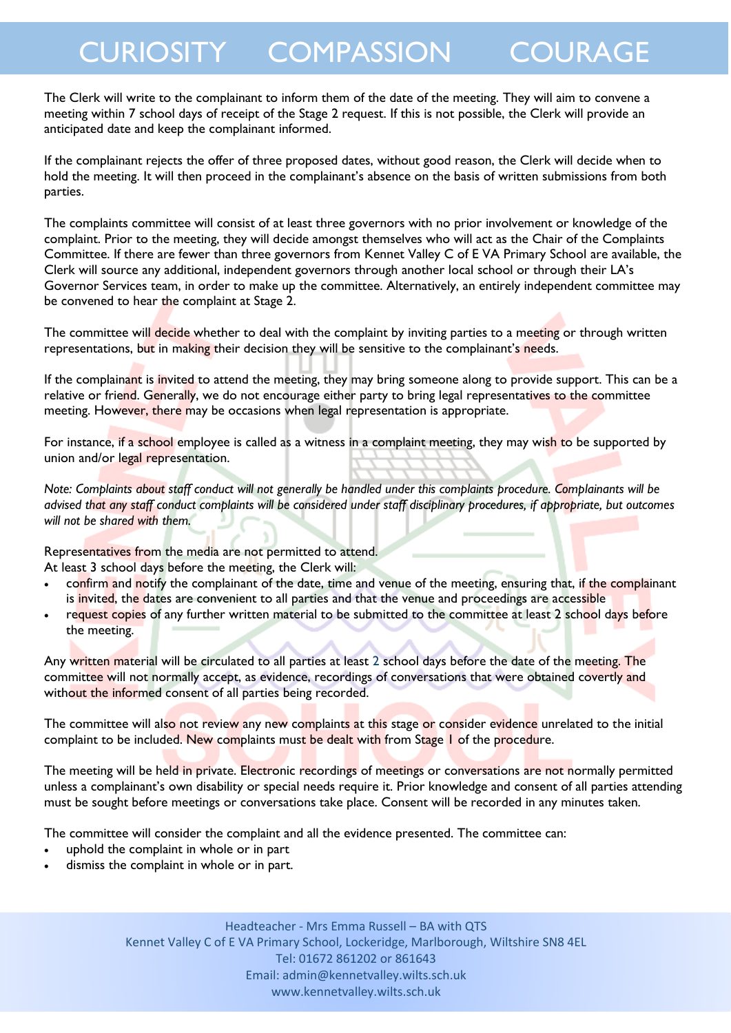The Clerk will write to the complainant to inform them of the date of the meeting. They will aim to convene a meeting within 7 school days of receipt of the Stage 2 request. If this is not possible, the Clerk will provide an anticipated date and keep the complainant informed.

If the complainant rejects the offer of three proposed dates, without good reason, the Clerk will decide when to hold the meeting. It will then proceed in the complainant's absence on the basis of written submissions from both parties.

The complaints committee will consist of at least three governors with no prior involvement or knowledge of the complaint. Prior to the meeting, they will decide amongst themselves who will act as the Chair of the Complaints Committee. If there are fewer than three governors from Kennet Valley C of E VA Primary School are available, the Clerk will source any additional, independent governors through another local school or through their LA's Governor Services team, in order to make up the committee. Alternatively, an entirely independent committee may be convened to hear the complaint at Stage 2.

The committee will decide whether to deal with the complaint by inviting parties to a meeting or through written representations, but in making their decision they will be sensitive to the complainant's needs.

If the complainant is invited to attend the meeting, they may bring someone along to provide support. This can be a relative or friend. Generally, we do not encourage either party to bring legal representatives to the committee meeting. However, there may be occasions when legal representation is appropriate.

For instance, if a school employee is called as a witness in a complaint meeting, they may wish to be supported by union and/or legal representation.

*Note: Complaints about staff conduct will not generally be handled under this complaints procedure. Complainants will be advised that any staff conduct complaints will be considered under staff disciplinary procedures, if appropriate, but outcomes will not be shared with them.* 

Representatives from the media are not permitted to attend.

At least 3 school days before the meeting, the Clerk will:

- confirm and notify the complainant of the date, time and venue of the meeting, ensuring that, if the complainant is invited, the dates are convenient to all parties and that the venue and proceedings are accessible
- request copies of any further written material to be submitted to the committee at least 2 school days before the meeting.

Any written material will be circulated to all parties at least 2 school days before the date of the meeting. The committee will not normally accept, as evidence, recordings of conversations that were obtained covertly and without the informed consent of all parties being recorded.

The committee will also not review any new complaints at this stage or consider evidence unrelated to the initial complaint to be included. New complaints must be dealt with from Stage 1 of the procedure.

The meeting will be held in private. Electronic recordings of meetings or conversations are not normally permitted unless a complainant's own disability or special needs require it. Prior knowledge and consent of all parties attending must be sought before meetings or conversations take place. Consent will be recorded in any minutes taken.

The committee will consider the complaint and all the evidence presented. The committee can:

- uphold the complaint in whole or in part
- dismiss the complaint in whole or in part.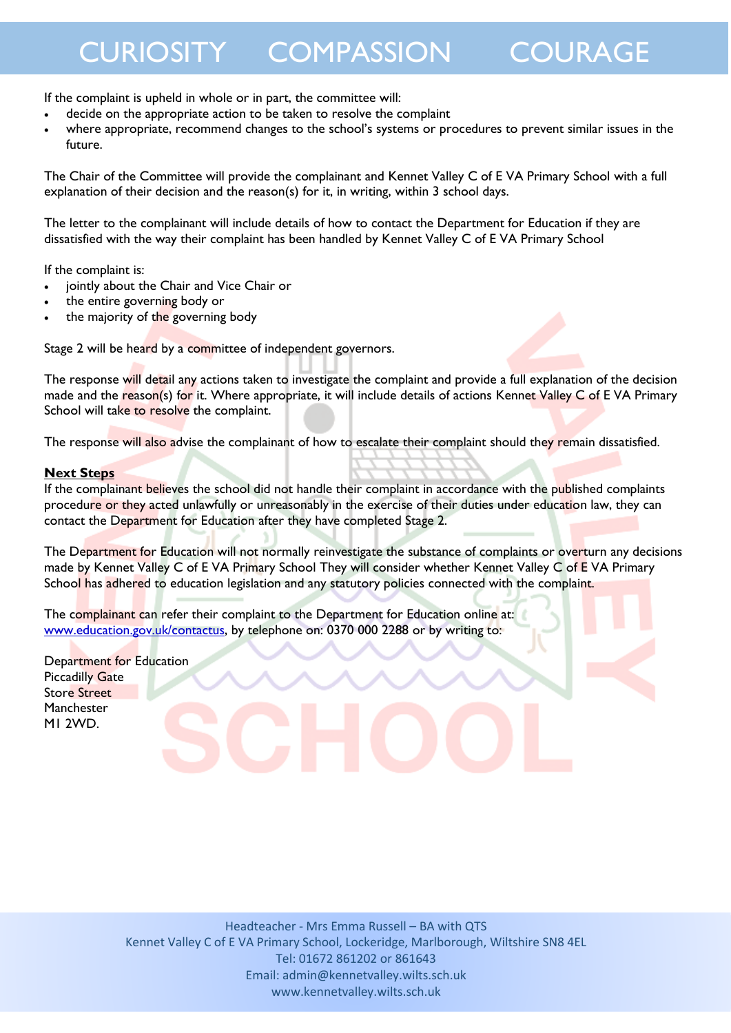If the complaint is upheld in whole or in part, the committee will:

- decide on the appropriate action to be taken to resolve the complaint
- where appropriate, recommend changes to the school's systems or procedures to prevent similar issues in the future.

The Chair of the Committee will provide the complainant and Kennet Valley C of E VA Primary School with a full explanation of their decision and the reason(s) for it, in writing, within  $3$  school days.

The letter to the complainant will include details of how to contact the Department for Education if they are dissatisfied with the way their complaint has been handled by Kennet Valley C of E VA Primary School

If the complaint is:

- jointly about the Chair and Vice Chair or
- the entire governing body or
- the majority of the governing body

Stage 2 will be heard by a committee of independent governors.

The response will detail any actions taken to investigate the complaint and provide a full explanation of the decision made and the reason(s) for it. Where appropriate, it will include details of actions Kennet Valley C of EVA Primary School will take to resolve the complaint.

The response will also advise the complainant of how to escalate their complaint should they remain dissatisfied.

### **Next Steps**

If the complainant believes the school did not handle their complaint in accordance with the published complaints procedure or they acted unlawfully or unreasonably in the exercise of their duties under education law, they can contact the Department for Education after they have completed Stage 2.

The Department for Education will not normally reinvestigate the substance of complaints or overturn any decisions made by Kennet Valley C of E VA Primary School They will consider whether Kennet Valley C of E VA Primary School has adhered to education legislation and any statutory policies connected with the complaint.

The complainant can refer their complaint to the Department for Education online at: [www.education.gov.uk/contactus,](http://www.education.gov.uk/contactus) by telephone on: 0370 000 2288 or by writing to:

Department for Education Piccadilly Gate Store Street Manchester M1 2WD.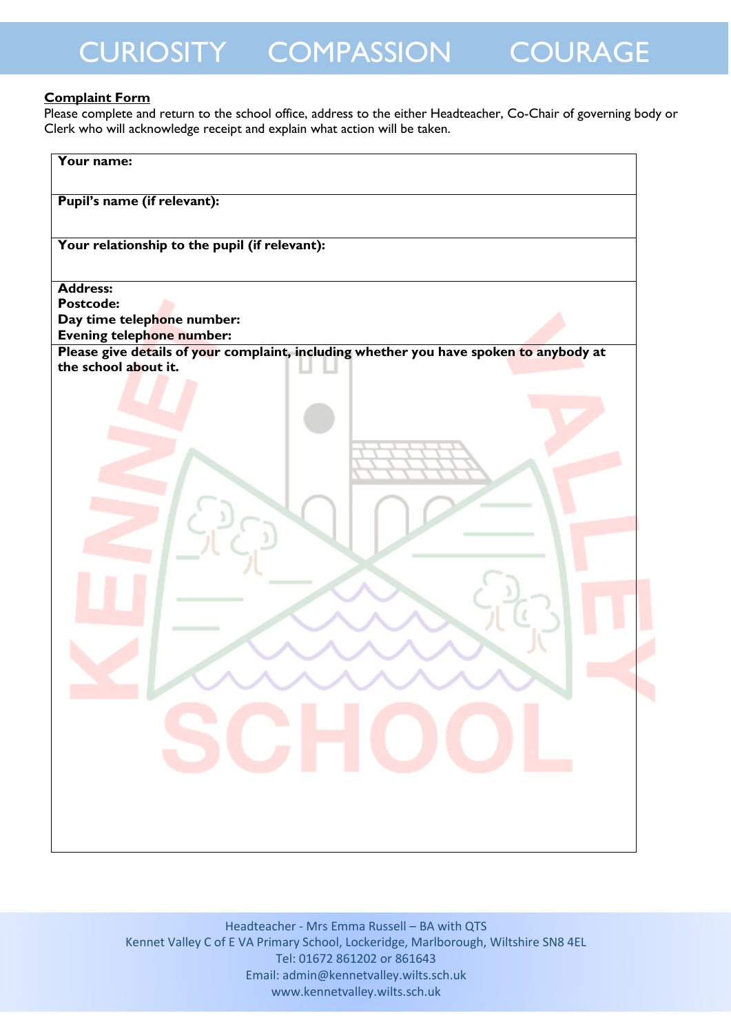### **Complaint Form**

Please complete and return to the school office, address to the either Headteacher, Co-Chair of governing body or Clerk who will acknowledge receipt and explain what action will be taken.

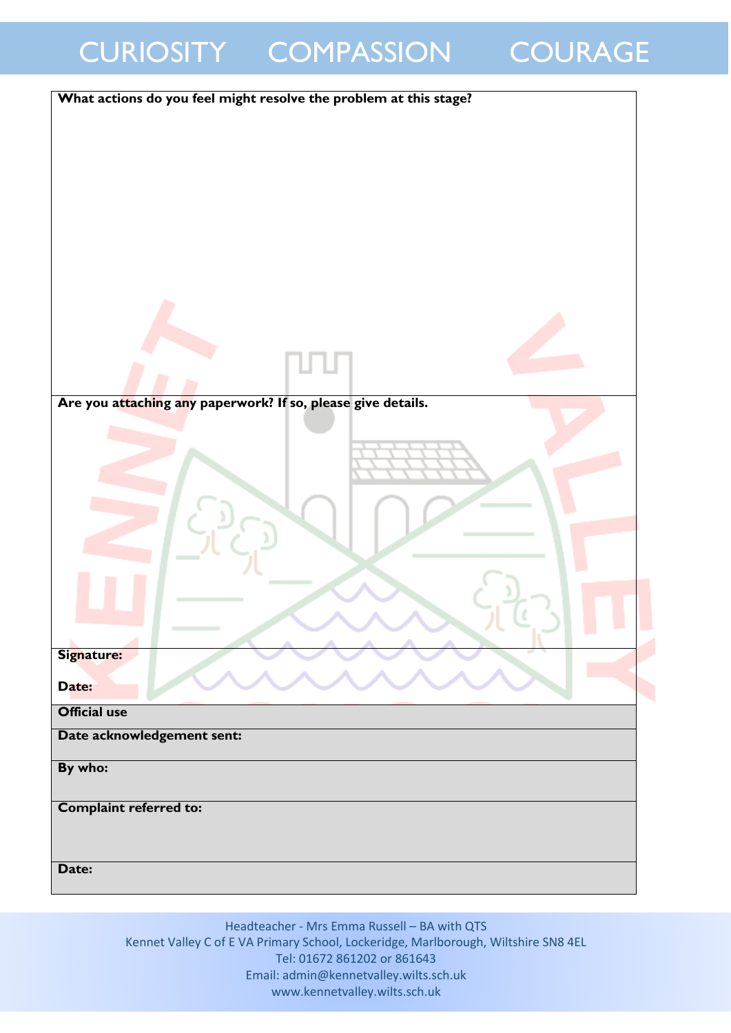| What actions do you feel might resolve the problem at this stage? |
|-------------------------------------------------------------------|
|                                                                   |
|                                                                   |
|                                                                   |
|                                                                   |
|                                                                   |
|                                                                   |
|                                                                   |
|                                                                   |
|                                                                   |
|                                                                   |
|                                                                   |
|                                                                   |
|                                                                   |
|                                                                   |
|                                                                   |
|                                                                   |
| Are you attaching any paperwork? If so, please give details.      |
|                                                                   |
|                                                                   |
|                                                                   |
|                                                                   |
|                                                                   |
|                                                                   |
|                                                                   |
|                                                                   |
|                                                                   |
|                                                                   |
|                                                                   |
|                                                                   |
|                                                                   |
| Signature:                                                        |
| Date:                                                             |
|                                                                   |
| <b>Official use</b>                                               |
| Date acknowledgement sent:                                        |
|                                                                   |
| By who:                                                           |
|                                                                   |
| <b>Complaint referred to:</b>                                     |
|                                                                   |
|                                                                   |
| Date:                                                             |
|                                                                   |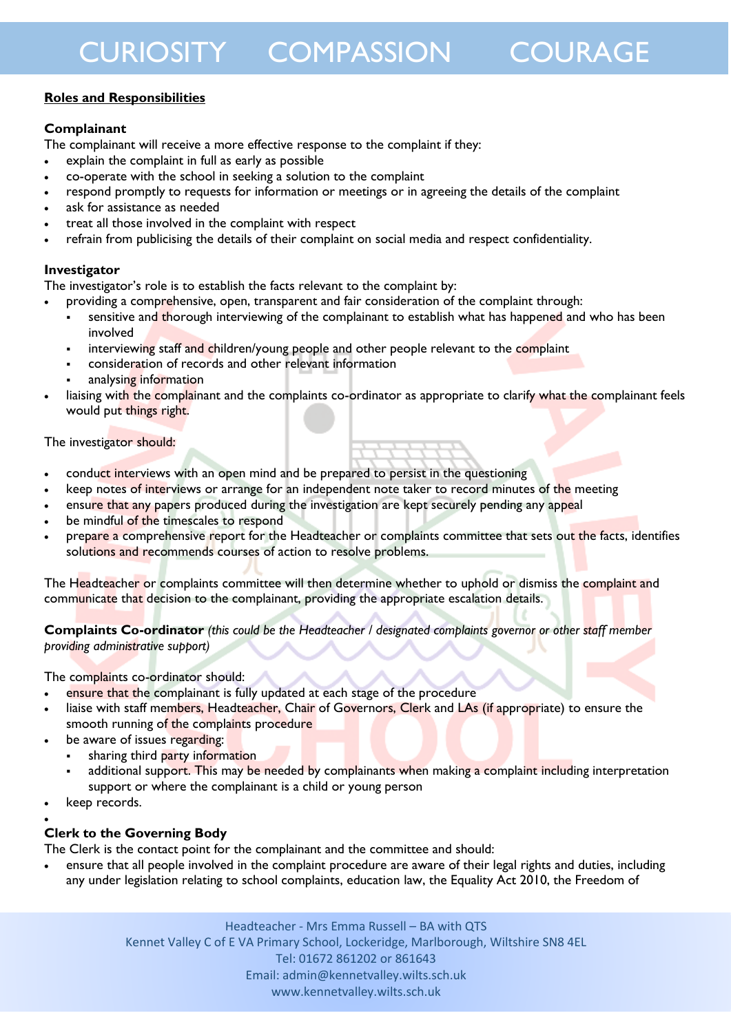### **Roles and Responsibilities**

### **Complainant**

The complainant will receive a more effective response to the complaint if they:

- explain the complaint in full as early as possible
- co-operate with the school in seeking a solution to the complaint
- respond promptly to requests for information or meetings or in agreeing the details of the complaint
- ask for assistance as needed
- treat all those involved in the complaint with respect
- refrain from publicising the details of their complaint on social media and respect confidentiality.

### **Investigator**

The investigator's role is to establish the facts relevant to the complaint by:

- providing a comprehensive, open, transparent and fair consideration of the complaint through:
- sensitive and thorough interviewing of the complainant to establish what has happened and who has been involved
- interviewing staff and children/young people and other people relevant to the complaint
- consideration of records and other relevant information
- analysing information
- liaising with the complainant and the complaints co-ordinator as appropriate to clarify what the complainant feels would put things right.

### The investigator should:

- conduct interviews with an open mind and be prepared to persist in the questioning
- keep notes of interviews or arrange for an independent note taker to record minutes of the meeting
- ensure that any papers produced during the investigation are kept securely pending any appeal
- be mindful of the timescales to respond
- prepare a comprehensive report for the Headteacher or complaints committee that sets out the facts, identifies solutions and recommends courses of action to resolve problems.

The Headteacher or complaints committee will then determine whether to uphold or dismiss the complaint and communicate that decision to the complainant, providing the appropriate escalation details.

**Complaints Co-ordinator** *(this could be the Headteacher / designated complaints governor or other staff member providing administrative support)*

The complaints co-ordinator should:

- ensure that the complainant is fully updated at each stage of the procedure
- liaise with staff members, Headteacher, Chair of Governors, Clerk and LAs (if appropriate) to ensure the smooth running of the complaints procedure
- be aware of issues regarding:
	- sharing third party information
	- additional support. This may be needed by complainants when making a complaint including interpretation support or where the complainant is a child or young person
- keep records.

#### $\bullet$ **Clerk to the Governing Body**

The Clerk is the contact point for the complainant and the committee and should:

 ensure that all people involved in the complaint procedure are aware of their legal rights and duties, including any under legislation relating to school complaints, education law, the Equality Act 2010, the Freedom of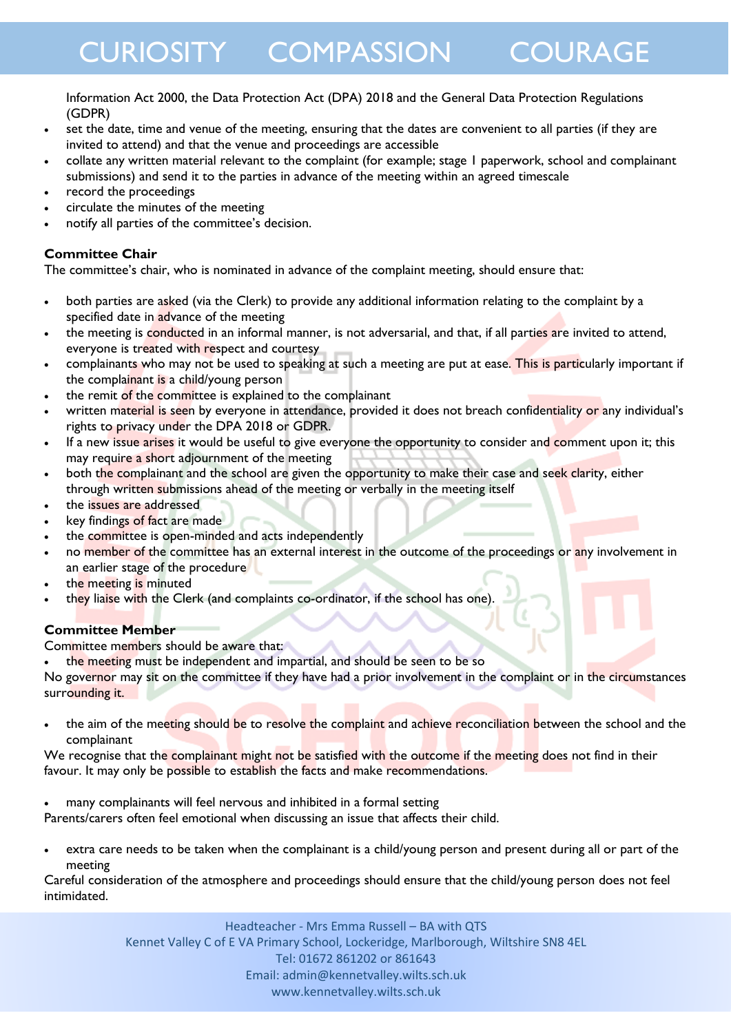Information Act 2000, the Data Protection Act (DPA) 2018 and the General Data Protection Regulations (GDPR)

- set the date, time and venue of the meeting, ensuring that the dates are convenient to all parties (if they are invited to attend) and that the venue and proceedings are accessible
- collate any written material relevant to the complaint (for example; stage 1 paperwork, school and complainant submissions) and send it to the parties in advance of the meeting within an agreed timescale
- record the proceedings
- circulate the minutes of the meeting
- notify all parties of the committee's decision.

### **Committee Chair**

The committee's chair, who is nominated in advance of the complaint meeting, should ensure that:

- both parties are asked (via the Clerk) to provide any additional information relating to the complaint by a specified date in advance of the meeting
- the meeting is conducted in an informal manner, is not adversarial, and that, if all parties are invited to attend, everyone is treated with respect and courtesy
- complainants who may not be used to speaking at such a meeting are put at ease. This is particularly important if the complainant is a child/young person
- the remit of the committee is explained to the complainant
- written material is seen by everyone in attendance, provided it does not breach confidentiality or any individual's rights to privacy under the DPA 2018 or GDPR.
- If a new issue arises it would be useful to give everyone the opportunity to consider and comment upon it; this may require a short adjournment of the meeting
- both the complainant and the school are given the opportunity to make their case and seek clarity, either through written submissions ahead of the meeting or verbally in the meeting itself
- the issues are addressed
- key findings of fact are made
- the committee is open-minded and acts independently
- no member of the committee has an external interest in the outcome of the proceedings or any involvement in an earlier stage of the procedure
- the meeting is minuted
- they liaise with the Clerk (and complaints co-ordinator, if the school has one)

### **Committee Member**

Committee members should be aware that:

the meeting must be independent and impartial, and should be seen to be so

No governor may sit on the committee if they have had a prior involvement in the complaint or in the circumstances surrounding it.

• the aim of the meeting should be to resolve the complaint and achieve reconciliation between the school and the complainant

We recognise that the complainant might not be satisfied with the outcome if the meeting does not find in their favour. It may only be possible to establish the facts and make recommendations.

many complainants will feel nervous and inhibited in a formal setting

Parents/carers often feel emotional when discussing an issue that affects their child.

 extra care needs to be taken when the complainant is a child/young person and present during all or part of the meeting

Careful consideration of the atmosphere and proceedings should ensure that the child/young person does not feel intimidated.